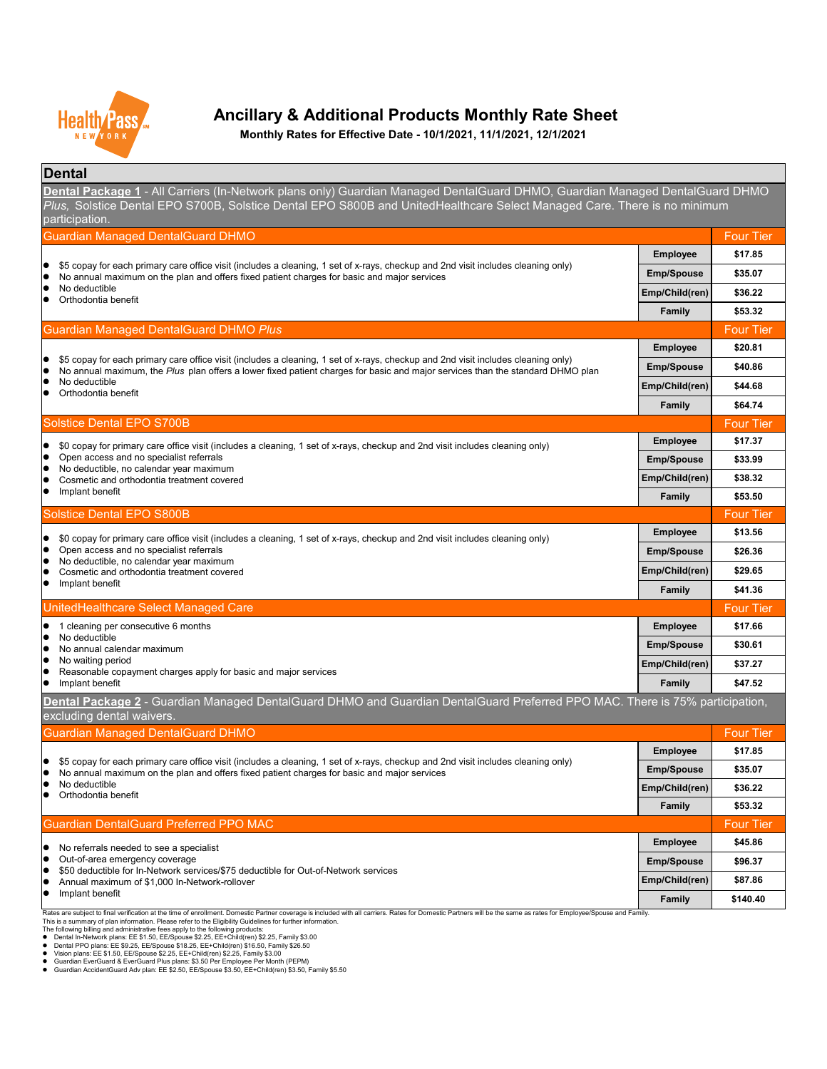### **Dental**

| <b>Emp/Spouse</b>     | \$96.37  |
|-----------------------|----------|
| <b>Emp/Child(ren)</b> | \$87.86  |
| <b>Family</b>         | \$140.40 |

Rates are subject to final verification at the time of enrollment. Domestic Partner coverage is included with all carriers. Rates for Domestic Partners will be the same as rates for Employee/Spouse and Family.



# **Ancillary & Additional Products Monthly Rate Sheet**

**Dental Package 1** - All Carriers (In-Network plans only) Guardian Managed DentalGuard DHMO, Guardian Managed DentalGuard DHMO *Plus,* Solstice Dental EPO S700B, Solstice Dental EPO S800B and UnitedHealthcare Select Managed Care. There is no minimum participation.

- No referrals needed to see a specialist
- $\bullet$  Out-of-area emergency coverage
- \$50 deductible for In-Network services/\$75 deductible for Out-of-Network services
- Annual maximum of \$1,000 In-Network-rollover
- **•** Implant benefit

**Monthly Rates for Effective Date - 10/1/2021, 11/1/2021, 12/1/2021**

This is a summary of plan information. Please refer to the Eligibility Guidelines for further information.

The following billing and administrative fees apply to the following products:

- Dental In-Network plans: EE \$1.50, EE/Spouse \$2.25, EE+Child(ren) \$2.25, Family \$3.00
- Dental PPO plans: EE \$9.25, EE/Spouse \$18.25, EE+Child(ren) \$16.50, Family \$26.50
- Vision plans: EE \$1.50, EE/Spouse \$2.25, EE+Child(ren) \$2.25, Family \$3.00
- Guardian EverGuard & EverGuard Plus plans: \$3.50 Per Employee Per Month (PEPM)
- Guardian AccidentGuard Adv plan: EE \$2.50, EE/Spouse \$3.50, EE+Child(ren) \$3.50, Family \$5.50

| <b>Guardian Managed DentalGuard DHMO</b>                                                                                                                                                                                                                            |                       | <b>Four Tier</b> |
|---------------------------------------------------------------------------------------------------------------------------------------------------------------------------------------------------------------------------------------------------------------------|-----------------------|------------------|
|                                                                                                                                                                                                                                                                     | <b>Employee</b>       | \$17.85          |
| \$5 copay for each primary care office visit (includes a cleaning, 1 set of x-rays, checkup and 2nd visit includes cleaning only)<br>No annual maximum on the plan and offers fixed patient charges for basic and major services                                    | <b>Emp/Spouse</b>     | \$35.07          |
| No deductible<br>Orthodontia benefit                                                                                                                                                                                                                                | <b>Emp/Child(ren)</b> | \$36.22          |
|                                                                                                                                                                                                                                                                     | <b>Family</b>         | \$53.32          |
| <b>Guardian Managed DentalGuard DHMO Plus</b>                                                                                                                                                                                                                       |                       | <b>Four Tier</b> |
|                                                                                                                                                                                                                                                                     | <b>Employee</b>       | \$20.81          |
| \$5 copay for each primary care office visit (includes a cleaning, 1 set of x-rays, checkup and 2nd visit includes cleaning only)<br>No annual maximum, the Plus plan offers a lower fixed patient charges for basic and major services than the standard DHMO plan | <b>Emp/Spouse</b>     | \$40.86          |
| No deductible<br>Orthodontia benefit                                                                                                                                                                                                                                | Emp/Child(ren)        | \$44.68          |
|                                                                                                                                                                                                                                                                     | <b>Family</b>         | \$64.74          |
| <b>Solstice Dental EPO S700B</b>                                                                                                                                                                                                                                    |                       | <b>Four Tier</b> |
| \$0 copay for primary care office visit (includes a cleaning, 1 set of x-rays, checkup and 2nd visit includes cleaning only)                                                                                                                                        | <b>Employee</b>       | \$17.37          |
| Open access and no specialist referrals                                                                                                                                                                                                                             | <b>Emp/Spouse</b>     | \$33.99          |
| No deductible, no calendar year maximum<br>Cosmetic and orthodontia treatment covered                                                                                                                                                                               | Emp/Child(ren)        | \$38.32          |
| Implant benefit                                                                                                                                                                                                                                                     | <b>Family</b>         | \$53.50          |
| <b>Solstice Dental EPO S800B</b>                                                                                                                                                                                                                                    |                       | <b>Four Tier</b> |
| \$0 copay for primary care office visit (includes a cleaning, 1 set of x-rays, checkup and 2nd visit includes cleaning only)                                                                                                                                        | <b>Employee</b>       | \$13.56          |
| Open access and no specialist referrals<br>No deductible, no calendar year maximum                                                                                                                                                                                  | <b>Emp/Spouse</b>     | \$26.36          |
| Cosmetic and orthodontia treatment covered                                                                                                                                                                                                                          | <b>Emp/Child(ren)</b> | \$29.65          |
| Implant benefit                                                                                                                                                                                                                                                     | <b>Family</b>         | \$41.36          |
| UnitedHealthcare Select Managed Care                                                                                                                                                                                                                                |                       | <b>Four Tier</b> |
| 1 cleaning per consecutive 6 months                                                                                                                                                                                                                                 | <b>Employee</b>       | \$17.66          |
| No deductible<br>No annual calendar maximum                                                                                                                                                                                                                         | <b>Emp/Spouse</b>     | \$30.61          |
| No waiting period<br>Reasonable copayment charges apply for basic and major services                                                                                                                                                                                | Emp/Child(ren)        | \$37.27          |
| Implant benefit                                                                                                                                                                                                                                                     | <b>Family</b>         | \$47.52          |
| Dental Package 2 - Guardian Managed DentalGuard DHMO and Guardian DentalGuard Preferred PPO MAC. There is 75% participation,<br>excluding dental waivers.                                                                                                           |                       |                  |
| <b>Guardian Managed DentalGuard DHMO</b>                                                                                                                                                                                                                            |                       | <b>Four Tier</b> |
|                                                                                                                                                                                                                                                                     | <b>Employee</b>       | \$17.85          |
| \$5 copay for each primary care office visit (includes a cleaning, 1 set of x-rays, checkup and 2nd visit includes cleaning only)<br>No annual maximum on the plan and offers fixed patient charges for basic and major services                                    | <b>Emp/Spouse</b>     | \$35.07          |
| No deductible<br>Orthodontia benefit                                                                                                                                                                                                                                | Emp/Child(ren)        | \$36.22          |
|                                                                                                                                                                                                                                                                     | <b>Family</b>         | \$53.32          |
| <b>Guardian DentalGuard Preferred PPO MAC</b>                                                                                                                                                                                                                       |                       | <b>Four Tier</b> |
| a No referrele peodod to see a specialist                                                                                                                                                                                                                           | <b>Employee</b>       | \$45.86          |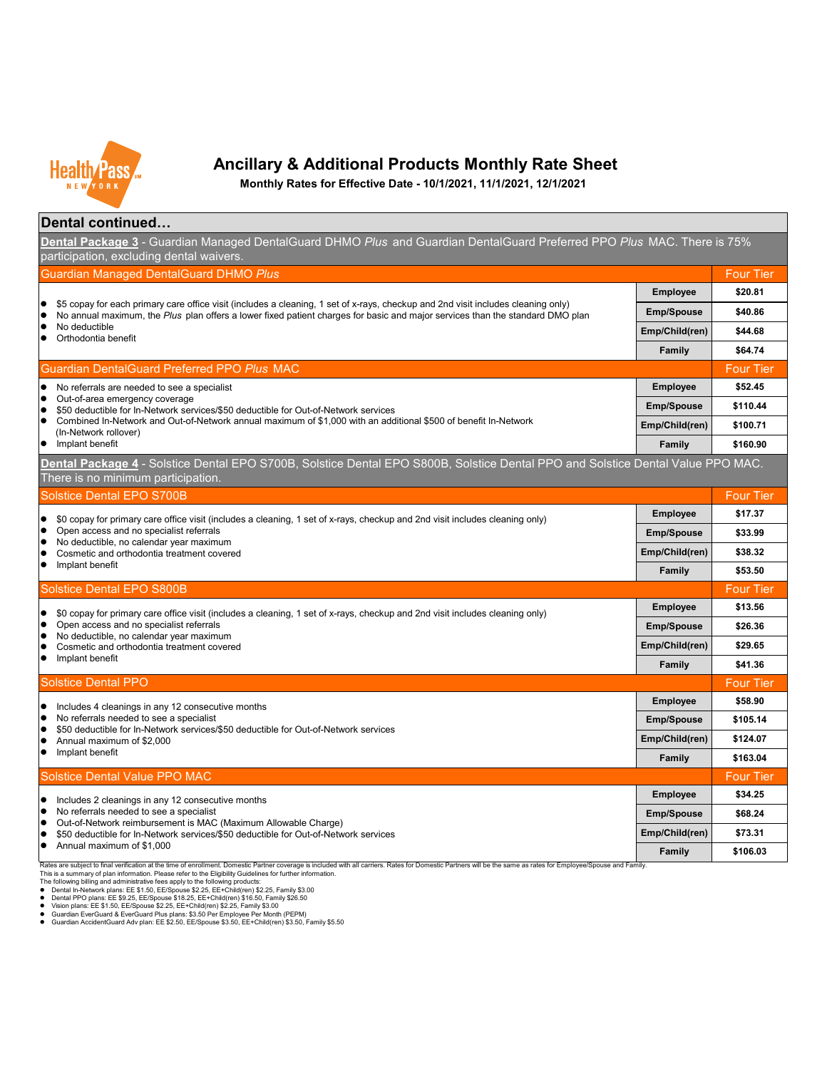### **Dental continued…**

Rates are subject to final verification at the time of enrollment. Domestic Partner coverage is included with all carriers. Rates for Domestic Partners will be the same as rates for Employee/Spouse and Family. This is a summary of plan information. Please refer to the Eligibility Guidelines for further information.

**Family \$106.03**



The following billing and administrative fees apply to the following products:

- Dental In-Network plans: EE \$1.50, EE/Spouse \$2.25, EE+Child(ren) \$2.25, Family \$3.00
- Dental PPO plans: EE \$9.25, EE/Spouse \$18.25, EE+Child(ren) \$16.50, Family \$26.50
- Vision plans: EE \$1.50, EE/Spouse \$2.25, EE+Child(ren) \$2.25, Family \$3.00
- Guardian EverGuard & EverGuard Plus plans: \$3.50 Per Employee Per Month (PEPM)
- Guardian AccidentGuard Adv plan: EE \$2.50, EE/Spouse \$3.50, EE+Child(ren) \$3.50, Family \$5.50

| <b>Guardian Managed DentalGuard DHMO Plus</b>                                                                                                                                                                                                                      |                   | <b>Four Tier</b> |
|--------------------------------------------------------------------------------------------------------------------------------------------------------------------------------------------------------------------------------------------------------------------|-------------------|------------------|
|                                                                                                                                                                                                                                                                    | <b>Employee</b>   | \$20.81          |
| \$5 copay for each primary care office visit (includes a cleaning, 1 set of x-rays, checkup and 2nd visit includes cleaning only)<br>No annual maximum, the Plus plan offers a lower fixed patient charges for basic and major services than the standard DMO plan | <b>Emp/Spouse</b> | \$40.86          |
| No deductible<br>Orthodontia benefit                                                                                                                                                                                                                               | Emp/Child(ren)    | \$44.68          |
|                                                                                                                                                                                                                                                                    | <b>Family</b>     | \$64.74          |
| <b>Guardian DentalGuard Preferred PPO Plus MAC</b>                                                                                                                                                                                                                 |                   | <b>Four Tier</b> |
| No referrals are needed to see a specialist                                                                                                                                                                                                                        | <b>Employee</b>   | \$52.45          |
| Out-of-area emergency coverage<br>\$50 deductible for In-Network services/\$50 deductible for Out-of-Network services                                                                                                                                              | <b>Emp/Spouse</b> | \$110.44         |
| Combined In-Network and Out-of-Network annual maximum of \$1,000 with an additional \$500 of benefit In-Network<br>(In-Network rollover)                                                                                                                           | Emp/Child(ren)    | \$100.71         |
| Implant benefit                                                                                                                                                                                                                                                    | <b>Family</b>     | \$160.90         |
| Dental Package 4 - Solstice Dental EPO S700B, Solstice Dental EPO S800B, Solstice Dental PPO and Solstice Dental Value PPO MAC.<br>There is no minimum participation.                                                                                              |                   |                  |
| <b>Solstice Dental EPO S700B</b>                                                                                                                                                                                                                                   |                   | <b>Four Tier</b> |
| \$0 copay for primary care office visit (includes a cleaning, 1 set of x-rays, checkup and 2nd visit includes cleaning only)                                                                                                                                       | <b>Employee</b>   | \$17.37          |
| Open access and no specialist referrals                                                                                                                                                                                                                            | <b>Emp/Spouse</b> | \$33.99          |
| No deductible, no calendar year maximum<br>Cosmetic and orthodontia treatment covered                                                                                                                                                                              | Emp/Child(ren)    | \$38.32          |
| Implant benefit                                                                                                                                                                                                                                                    | <b>Family</b>     | \$53.50          |
| <b>Solstice Dental EPO S800B</b>                                                                                                                                                                                                                                   |                   | <b>Four Tier</b> |
| \$0 copay for primary care office visit (includes a cleaning, 1 set of x-rays, checkup and 2nd visit includes cleaning only)                                                                                                                                       | <b>Employee</b>   | \$13.56          |
| Open access and no specialist referrals                                                                                                                                                                                                                            | <b>Emp/Spouse</b> | \$26.36          |
| No deductible, no calendar year maximum<br>Cosmetic and orthodontia treatment covered                                                                                                                                                                              | Emp/Child(ren)    | \$29.65          |
| Implant benefit                                                                                                                                                                                                                                                    | <b>Family</b>     | \$41.36          |
| <b>Solstice Dental PPO</b>                                                                                                                                                                                                                                         |                   | <b>Four Tier</b> |
| Includes 4 cleanings in any 12 consecutive months                                                                                                                                                                                                                  | <b>Employee</b>   | \$58.90          |
| No referrals needed to see a specialist<br>\$50 deductible for In-Network services/\$50 deductible for Out-of-Network services                                                                                                                                     | <b>Emp/Spouse</b> | \$105.14         |
| Annual maximum of \$2,000                                                                                                                                                                                                                                          | Emp/Child(ren)    | \$124.07         |
| Implant benefit                                                                                                                                                                                                                                                    | <b>Family</b>     | \$163.04         |
| <b>Solstice Dental Value PPO MAC</b>                                                                                                                                                                                                                               |                   | <b>Four Tier</b> |
| Includes 2 cleanings in any 12 consecutive months                                                                                                                                                                                                                  | <b>Employee</b>   | \$34.25          |
| No referrals needed to see a specialist<br>Out-of-Network reimbursement is MAC (Maximum Allowable Charge)                                                                                                                                                          | <b>Emp/Spouse</b> | \$68.24          |
| \$50 deductible for In-Network services/\$50 deductible for Out-of-Network services                                                                                                                                                                                | Emp/Child(ren)    | \$73.31          |
| Annual maximum of \$1,000                                                                                                                                                                                                                                          | $E_{\rm max}$ ily | <b>CANG NO</b>   |



### **Ancillary & Additional Products Monthly Rate Sheet**

**Monthly Rates for Effective Date - 10/1/2021, 11/1/2021, 12/1/2021**

**Dental Package 3** - Guardian Managed DentalGuard DHMO *Plus* and Guardian DentalGuard Preferred PPO *Plus* MAC. There is 75% participation, excluding dental waivers.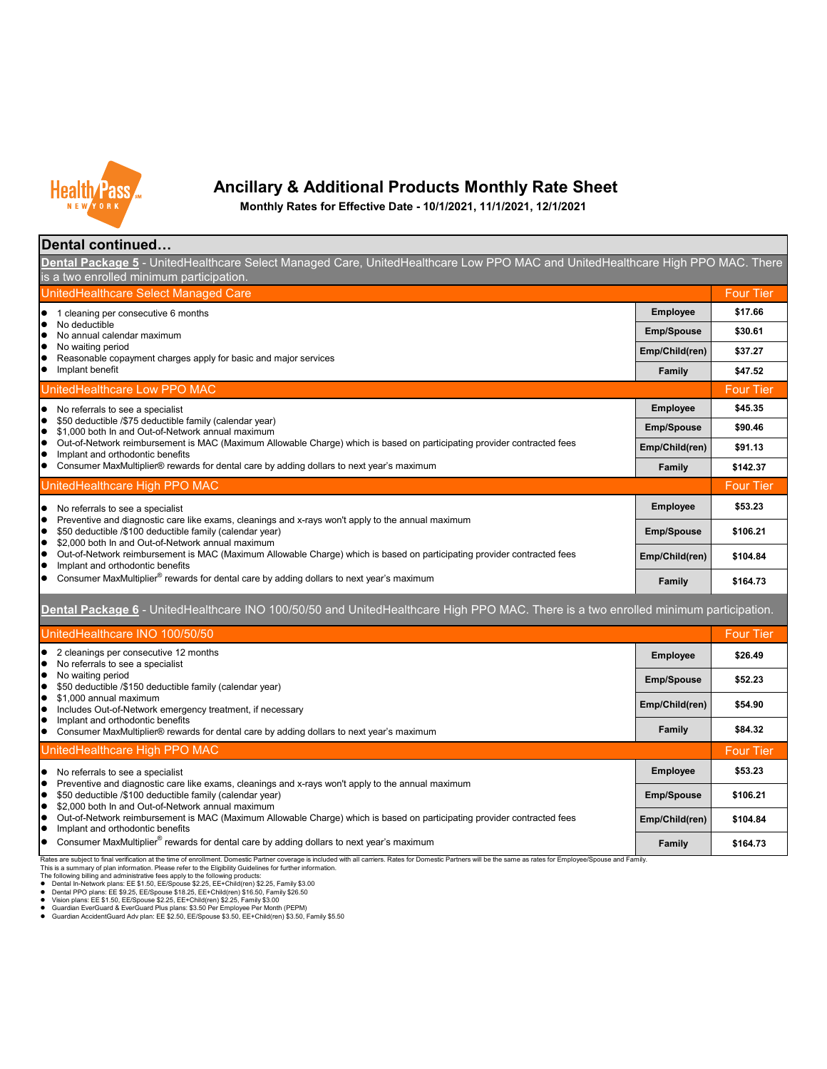Rates are subject to final verification at the time of enrollment. Domestic Partner coverage is included with all carriers. Rates for Domestic Partners will be the same as rates for Employee/Spouse and Family. This is a summary of plan information. Please refer to the Eligibility Guidelines for further information. The following billing and administrative fees apply to the following products:

- Dental In-Network plans: EE \$1.50, EE/Spouse \$2.25, EE+Child(ren) \$2.25, Family \$3.00
- Dental PPO plans: EE \$9.25, EE/Spouse \$18.25, EE+Child(ren) \$16.50, Family \$26.50
- Vision plans:  $\overline{E}E$  \$1.50,  $\overline{E}E/S$ pouse \$2.25,  $\overline{E}E+C$ hild(ren) \$2.25, Family \$3.00
- Guardian EverGuard & EverGuard Plus plans: \$3.50 Per Employee Per Month (PEPM)
- Guardian AccidentGuard Adv plan: EE \$2.50, EE/Spouse \$3.50, EE+Child(ren) \$3.50, Family \$5.50

| Dental continued                                                                                                                                                                                                   |                   |                  |
|--------------------------------------------------------------------------------------------------------------------------------------------------------------------------------------------------------------------|-------------------|------------------|
| <b>Dental Package 5</b> - UnitedHealthcare Select Managed Care, UnitedHealthcare Low PPO MAC and UnitedHealthcare High PPO MAC. There<br>is a two enrolled minimum participation.                                  |                   |                  |
| UnitedHealthcare Select Managed Care                                                                                                                                                                               |                   | <b>Four Tier</b> |
| cleaning per consecutive 6 months                                                                                                                                                                                  | <b>Employee</b>   | \$17.66          |
| No deductible<br>No annual calendar maximum                                                                                                                                                                        | <b>Emp/Spouse</b> | \$30.61          |
| No waiting period<br>Reasonable copayment charges apply for basic and major services                                                                                                                               | Emp/Child(ren)    | \$37.27          |
| Implant benefit                                                                                                                                                                                                    | Family            | \$47.52          |
| UnitedHealthcare Low PPO MAC                                                                                                                                                                                       |                   | <b>Four Tier</b> |
| No referrals to see a specialist                                                                                                                                                                                   | <b>Employee</b>   | \$45.35          |
| \$50 deductible /\$75 deductible family (calendar year)<br>\$1,000 both In and Out-of-Network annual maximum                                                                                                       | <b>Emp/Spouse</b> | \$90.46          |
| Out-of-Network reimbursement is MAC (Maximum Allowable Charge) which is based on participating provider contracted fees<br>Implant and orthodontic benefits                                                        | Emp/Child(ren)    | \$91.13          |
| Consumer MaxMultiplier® rewards for dental care by adding dollars to next year's maximum                                                                                                                           | <b>Family</b>     | \$142.37         |
| UnitedHealthcare High PPO MAC                                                                                                                                                                                      |                   | <b>Four Tier</b> |
| No referrals to see a specialist                                                                                                                                                                                   | <b>Employee</b>   | \$53.23          |
| Preventive and diagnostic care like exams, cleanings and x-rays won't apply to the annual maximum<br>\$50 deductible /\$100 deductible family (calendar year)                                                      | <b>Emp/Spouse</b> | \$106.21         |
| \$2,000 both In and Out-of-Network annual maximum<br>Out-of-Network reimbursement is MAC (Maximum Allowable Charge) which is based on participating provider contracted fees<br>Implant and orthodontic benefits   | Emp/Child(ren)    | \$104.84         |
| Consumer MaxMultiplier <sup>®</sup> rewards for dental care by adding dollars to next year's maximum                                                                                                               | <b>Family</b>     | \$164.73         |
| Dental Package 6 - UnitedHealthcare INO 100/50/50 and UnitedHealthcare High PPO MAC. There is a two enrolled minimum participation.                                                                                |                   |                  |
| UnitedHealthcare INO 100/50/50                                                                                                                                                                                     |                   | <b>Four Tier</b> |
| 2 cleanings per consecutive 12 months<br>No referrals to see a specialist                                                                                                                                          | <b>Employee</b>   | \$26.49          |
| No waiting period<br>\$50 deductible /\$150 deductible family (calendar year)                                                                                                                                      | <b>Emp/Spouse</b> | \$52.23          |
| \$1,000 annual maximum<br>Includes Out-of-Network emergency treatment, if necessary                                                                                                                                | Emp/Child(ren)    | \$54.90          |
| Implant and orthodontic benefits<br>Consumer MaxMultiplier® rewards for dental care by adding dollars to next year's maximum                                                                                       | <b>Family</b>     | \$84.32          |
| UnitedHealthcare High PPO MAC                                                                                                                                                                                      |                   | <b>Four Tier</b> |
| No referrals to see a specialist                                                                                                                                                                                   | <b>Employee</b>   | \$53.23          |
| Preventive and diagnostic care like exams, cleanings and x-rays won't apply to the annual maximum<br>\$50 deductible /\$100 deductible family (calendar year)<br>\$2,000 both In and Out-of-Network annual maximum | <b>Emp/Spouse</b> | \$106.21         |
| Out-of-Network reimbursement is MAC (Maximum Allowable Charge) which is based on participating provider contracted fees<br>Implant and orthodontic benefits                                                        | Emp/Child(ren)    | \$104.84         |
| Consumer MaxMultiplier <sup>®</sup> rewards for dental care by adding dollars to next year's maximum                                                                                                               | <b>Family</b>     | \$164.73         |



# **Ancillary & Additional Products Monthly Rate Sheet**

**Monthly Rates for Effective Date - 10/1/2021, 11/1/2021, 12/1/2021**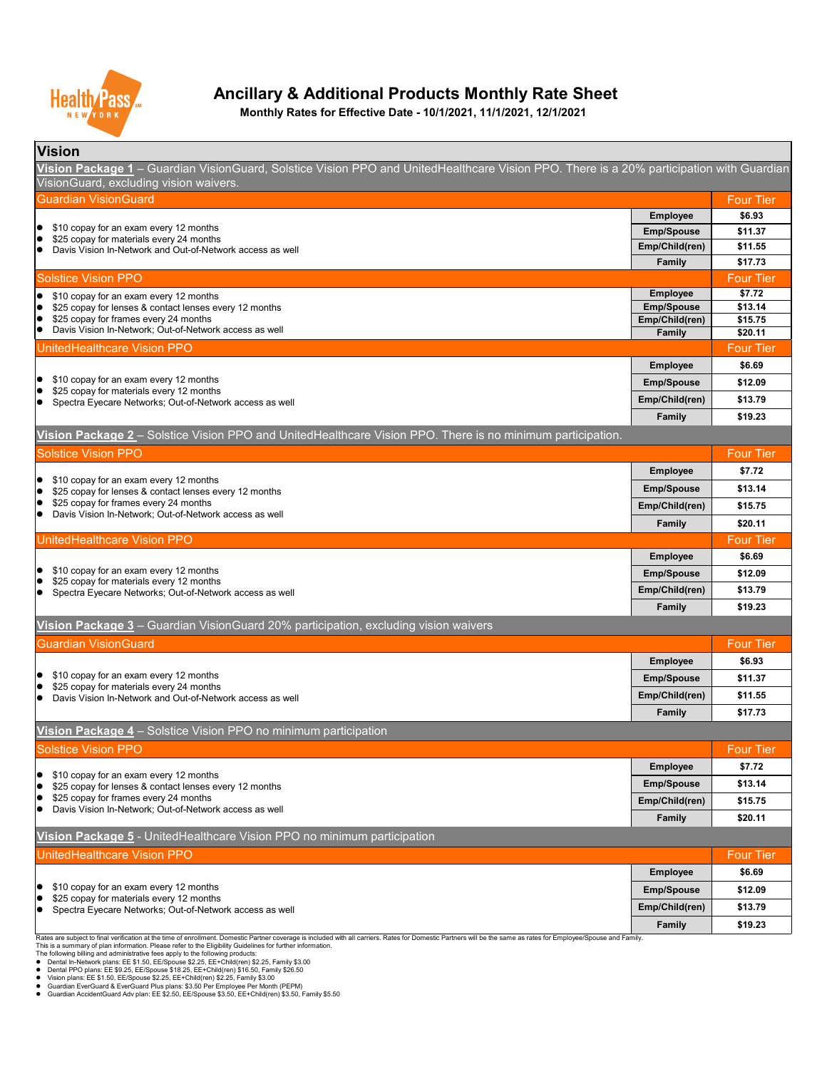| <b>Vision</b>                                                                                                                                                           |                   |                  |  |
|-------------------------------------------------------------------------------------------------------------------------------------------------------------------------|-------------------|------------------|--|
| Vision Package 1 – Guardian VisionGuard, Solstice Vision PPO and UnitedHealthcare Vision PPO. There is a 20% participation with Guardian                                |                   |                  |  |
| VisionGuard, excluding vision waivers.                                                                                                                                  |                   |                  |  |
| <b>Guardian VisionGuard</b>                                                                                                                                             |                   | <b>Four Tier</b> |  |
|                                                                                                                                                                         | <b>Employee</b>   | \$6.93           |  |
| \$10 copay for an exam every 12 months<br>$\bullet$<br>$\bullet$                                                                                                        | <b>Emp/Spouse</b> | \$11.37          |  |
| \$25 copay for materials every 24 months<br>Davis Vision In-Network and Out-of-Network access as well<br>$\bullet$                                                      | Emp/Child(ren)    | \$11.55          |  |
|                                                                                                                                                                         | <b>Family</b>     | \$17.73          |  |
| <b>Solstice Vision PPO</b>                                                                                                                                              |                   | <b>Four Tier</b> |  |
| \$10 copay for an exam every 12 months<br>$\bullet$                                                                                                                     | <b>Employee</b>   | \$7.72           |  |
| \$25 copay for lenses & contact lenses every 12 months<br>$\bullet$                                                                                                     | <b>Emp/Spouse</b> | \$13.14          |  |
| \$25 copay for frames every 24 months<br>$\bullet$                                                                                                                      | Emp/Child(ren)    | \$15.75          |  |
| Davis Vision In-Network; Out-of-Network access as well<br>$\bullet$                                                                                                     | <b>Family</b>     | \$20.11          |  |
| UnitedHealthcare Vision PPO                                                                                                                                             |                   | <b>Four Tier</b> |  |
|                                                                                                                                                                         | <b>Employee</b>   | \$6.69           |  |
| \$10 copay for an exam every 12 months<br>$\bullet$<br>\$25 copay for materials every 12 months<br>$\bullet$<br>Spectra Eyecare Networks; Out-of-Network access as well | <b>Emp/Spouse</b> | \$12.09          |  |
|                                                                                                                                                                         | Emp/Child(ren)    | \$13.79          |  |
|                                                                                                                                                                         | <b>Family</b>     | \$19.23          |  |

| <b>Solstice Vision PPO</b>                                                                            |                   | <b>Four Tier</b> |
|-------------------------------------------------------------------------------------------------------|-------------------|------------------|
|                                                                                                       | <b>Employee</b>   | \$7.72           |
| \$10 copay for an exam every 12 months<br>\$25 copay for lenses & contact lenses every 12 months      | <b>Emp/Spouse</b> | \$13.14          |
| \$25 copay for frames every 24 months                                                                 | Emp/Child(ren)    | \$15.75          |
| Davis Vision In-Network; Out-of-Network access as well                                                | <b>Family</b>     | \$20.11          |
| <b>UnitedHealthcare Vision PPO</b>                                                                    |                   | <b>Four Tier</b> |
|                                                                                                       | <b>Employee</b>   | \$6.69           |
| \$10 copay for an exam every 12 months                                                                | <b>Emp/Spouse</b> | \$12.09          |
| \$25 copay for materials every 12 months<br>Spectra Eyecare Networks; Out-of-Network access as well   | Emp/Child(ren)    | \$13.79          |
|                                                                                                       | <b>Family</b>     | \$19.23          |
| Vision Package 3 - Guardian VisionGuard 20% participation, excluding vision waivers                   |                   |                  |
| <b>Guardian VisionGuard</b>                                                                           |                   |                  |
|                                                                                                       | <b>Employee</b>   | \$6.93           |
| \$10 copay for an exam every 12 months                                                                | <b>Emp/Spouse</b> | \$11.37          |
| \$25 copay for materials every 24 months<br>Davis Vision In-Network and Out-of-Network access as well | Emp/Child(ren)    | \$11.55          |
|                                                                                                       | <b>Family</b>     | \$17.73          |
| Vision Package 4 – Solstice Vision PPO no minimum participation                                       |                   |                  |
| <b>Solstice Vision PPO</b>                                                                            |                   | <b>Four Tier</b> |
|                                                                                                       | <b>Employee</b>   | \$7.72           |
| \$10 copay for an exam every 12 months<br>\$25 copay for lenses & contact lenses every 12 months      | <b>Emp/Spouse</b> | \$13.14          |
| \$25 copay for frames every 24 months                                                                 | Emp/Child(ren)    | \$15.75          |
| Davis Vision In-Network; Out-of-Network access as well                                                | <b>Family</b>     | \$20.11          |
| Vision Package 5 - UnitedHealthcare Vision PPO no minimum participation                               |                   |                  |

| UnitedHealthcare Vision PPO                                                        |                   | <b>Four Tier</b> |
|------------------------------------------------------------------------------------|-------------------|------------------|
|                                                                                    | <b>Employee</b>   | \$6.69           |
| \$10 copay for an exam every 12 months<br>\$25 copay for materials every 12 months | <b>Emp/Spouse</b> | \$12.09          |
| Spectra Eyecare Networks; Out-of-Network access as well                            | Emp/Child(ren)    | \$13.79          |
|                                                                                    | <b>Family</b>     | \$19.23          |

Rates are subject to final verification at the time of enrollment. Domestic Partner coverage is included with all carriers. Rates for Domestic Partners will be the same as rates for Employee/Spouse and Family.

This is a summary of plan information. Please refer to the Eligibility Guidelines for further information.

The following billing and administrative fees apply to the following products:

- Dental In-Network plans: EE \$1.50, EE/Spouse \$2.25, EE+Child(ren) \$2.25, Family \$3.00
- Dental PPO plans: EE \$9.25, EE/Spouse \$18.25, EE+Child(ren) \$16.50, Family \$26.50
- Vision plans: EE \$1.50, EE/Spouse \$2.25, EE+Child(ren) \$2.25, Family \$3.00
- Guardian EverGuard & EverGuard Plus plans: \$3.50 Per Employee Per Month (PEPM)
- Guardian AccidentGuard Adv plan: EE \$2.50, EE/Spouse \$3.50, EE+Child(ren) \$3.50, Family \$5.50



# **Ancillary & Additional Products Monthly Rate Sheet**

**Vision Package 2** – Solstice Vision PPO and UnitedHealthcare Vision PPO. There is no minimum participation.

**Monthly Rates for Effective Date - 10/1/2021, 11/1/2021, 12/1/2021**